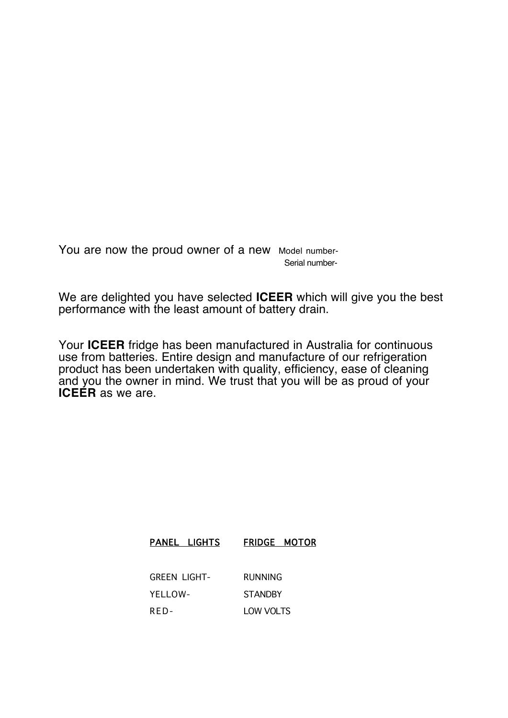You are now the proud owner of a new Model number-Serial number-

We are delighted you have selected **ICEER** which will give you the best performance with the least amount of battery drain.

Your **ICEER** fridge has been manufactured in Australia for continuous use from batteries. Entire design and manufacture of our refrigeration product has been undertaken with quality, efficiency, ease of cleaning and you the owner in mind. We trust that you will be as proud of your **ICEER** as we are.

| PANEL LIGHTS        | <b>FRIDGE MOTOR</b> |
|---------------------|---------------------|
|                     |                     |
| <b>GREEN LIGHT-</b> | RUNNING             |
| YELLOW-             | <b>STANDBY</b>      |
| RFD-                | LOW VOLTS           |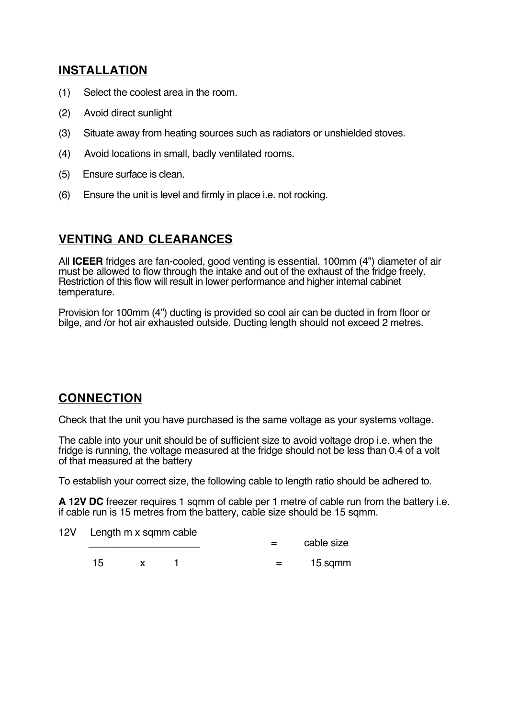## **INSTALLATION**

- (1) Select the coolest area in the room.
- (2) Avoid direct sunlight
- (3) Situate away from heating sources such as radiators or unshielded stoves.
- (4) Avoid locations in small, badly ventilated rooms.
- (5) Ensure surface is clean.
- (6) Ensure the unit is level and firmly in place i.e. not rocking.

# **VENTING AND CLEARANCES**

All **ICEER** fridges are fan-cooled, good venting is essential. 100mm (4") diameter of air must be allowed to flow through the intake and out of the exhaust of the fridge freely. Restriction of this flow will result in lower performance and higher internal cabinet temperature.

Provision for 100mm (4") ducting is provided so cool air can be ducted in from floor or bilge, and /or hot air exhausted outside. Ducting length should not exceed 2 metres.

## **CONNECTION**

Check that the unit you have purchased is the same voltage as your systems voltage.

The cable into your unit should be of sufficient size to avoid voltage drop i.e. when the fridge is running, the voltage measured at the fridge should not be less than 0.4 of a volt of that measured at the battery

To establish your correct size, the following cable to length ratio should be adhered to.

**A 12V DC** freezer requires 1 sqmm of cable per 1 metre of cable run from the battery i.e. if cable run is 15 metres from the battery, cable size should be 15 sqmm.

12V Length m x sqmm cable

 $=$  cable size

 $15 \times 1 = 15$  sqmm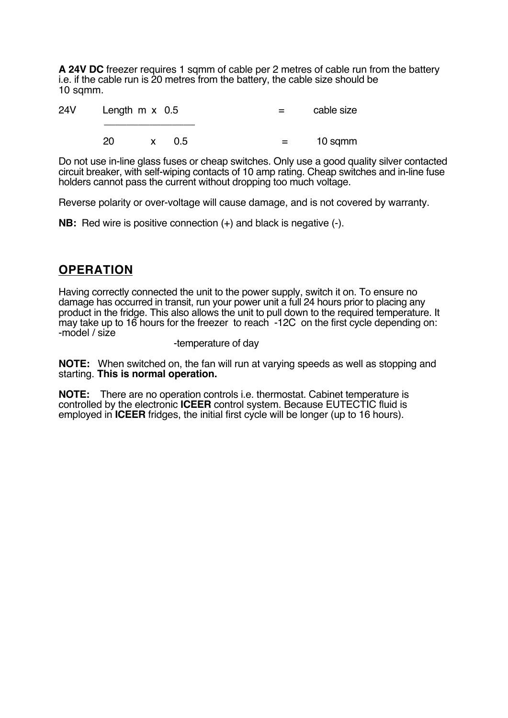**A 24V DC** freezer requires 1 sqmm of cable per 2 metres of cable run from the battery i.e. if the cable run is 20 metres from the battery, the cable size should be 10 sqmm.

| 24V | Length $m \times 0.5$ |  |       | $\equiv$ $\equiv$ | cable size |
|-----|-----------------------|--|-------|-------------------|------------|
|     | 20                    |  | x 0.5 | $\equiv$ $\equiv$ | 10 sqmm    |

Do not use in-line glass fuses or cheap switches. Only use a good quality silver contacted circuit breaker, with self-wiping contacts of 10 amp rating. Cheap switches and in-line fuse holders cannot pass the current without dropping too much voltage.

Reverse polarity or over-voltage will cause damage, and is not covered by warranty.

**NB:** Red wire is positive connection (+) and black is negative (-).

## **OPERATION**

Having correctly connected the unit to the power supply, switch it on. To ensure no damage has occurred in transit, run your power unit a full 24 hours prior to placing any product in the fridge. This also allows the unit to pull down to the required temperature. It may take up to 16 hours for the freezer to reach -12C on the first cycle depending on: -model / size

#### -temperature of day

**NOTE:** When switched on, the fan will run at varying speeds as well as stopping and starting. **This is normal operation.**

**NOTE:** There are no operation controls i.e. thermostat. Cabinet temperature is controlled by the electronic **ICEER** control system. Because EUTECTIC fluid is employed in **ICEER** fridges, the initial first cycle will be longer (up to 16 hours).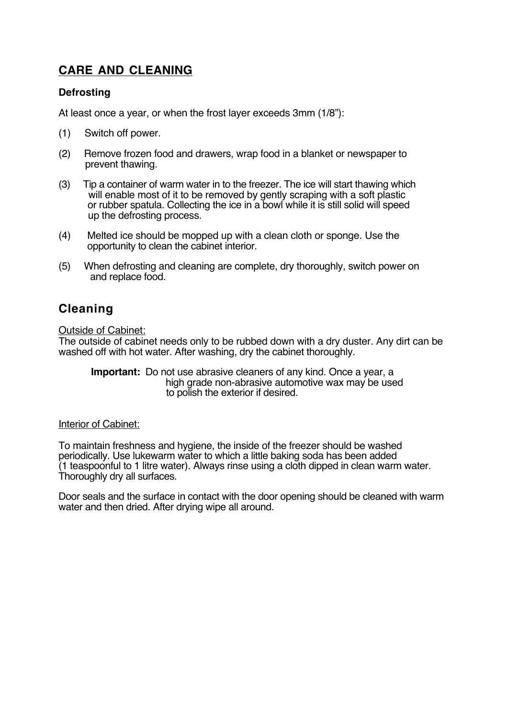# **CARE AND CLEANING**

### **Defrosting**

At least once a year, or when the frost layer exceeds 3mm (1/8"):

- (1) Switch off power.
- (2) Remove frozen food and drawers, wrap food in a blanket or newspaper to prevent thawing.
- (3) Tip a container of warm water in to the freezer. The ice will start thawing which will enable most of it to be removed by gently scraping with a soft plastic or rubber spatula. Collecting the ice in a bowl while it is still solid will speed up the defrosting process.
- (4) Melted ice should be mopped up with a clean cloth or sponge. Use the opportunity to clean the cabinet interior.
- (5) When defrosting and cleaning are complete, dry thoroughly, switch power on and replace food.

# **Cleaning**

Outside of Cabinet:

The outside of cabinet needs only to be rubbed down with a dry duster. Any dirt can be washed off with hot water. After washing, dry the cabinet thoroughly.

 **Important:** Do not use abrasive cleaners of any kind. Once a year, a high grade non-abrasive automotive wax may be used to polish the exterior if desired.

#### Interior of Cabinet:

To maintain freshness and hygiene, the inside of the freezer should be washed periodically. Use lukewarm water to which a little baking soda has been added (1 teaspoonful to 1 litre water). Always rinse using a cloth dipped in clean warm water. Thoroughly dry all surfaces.

Door seals and the surface in contact with the door opening should be cleaned with warm water and then dried. After drying wipe all around.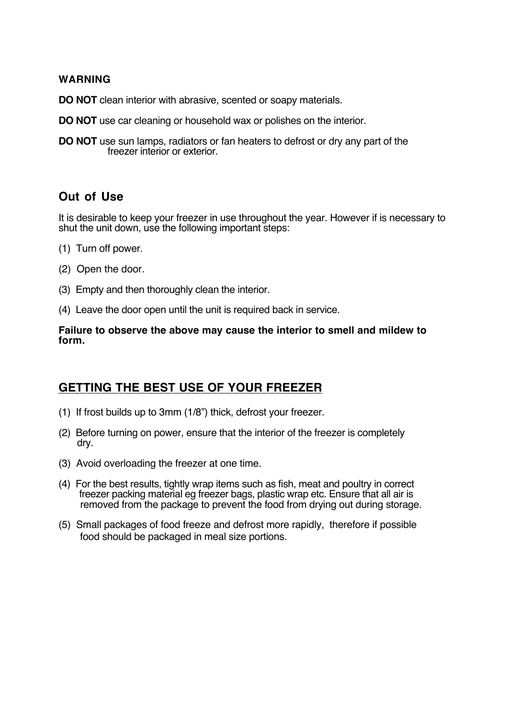### **WARNING**

**DO NOT** clean interior with abrasive, scented or soapy materials.

- **DO NOT** use car cleaning or household wax or polishes on the interior.
- **DO NOT** use sun lamps, radiators or fan heaters to defrost or dry any part of the freezer interior or exterior.

## **Out of Use**

It is desirable to keep your freezer in use throughout the year. However if is necessary to shut the unit down, use the following important steps:

- (1) Turn off power.
- (2) Open the door.
- (3) Empty and then thoroughly clean the interior.
- (4) Leave the door open until the unit is required back in service.

#### **Failure to observe the above may cause the interior to smell and mildew to form.**

## **GETTING THE BEST USE OF YOUR FREEZER**

- (1) If frost builds up to 3mm (1/8") thick, defrost your freezer.
- (2) Before turning on power, ensure that the interior of the freezer is completely dry.
- (3) Avoid overloading the freezer at one time.
- (4) For the best results, tightly wrap items such as fish, meat and poultry in correct freezer packing material eg freezer bags, plastic wrap etc. Ensure that all air is removed from the package to prevent the food from drying out during storage.
- (5) Small packages of food freeze and defrost more rapidly, therefore if possible food should be packaged in meal size portions.